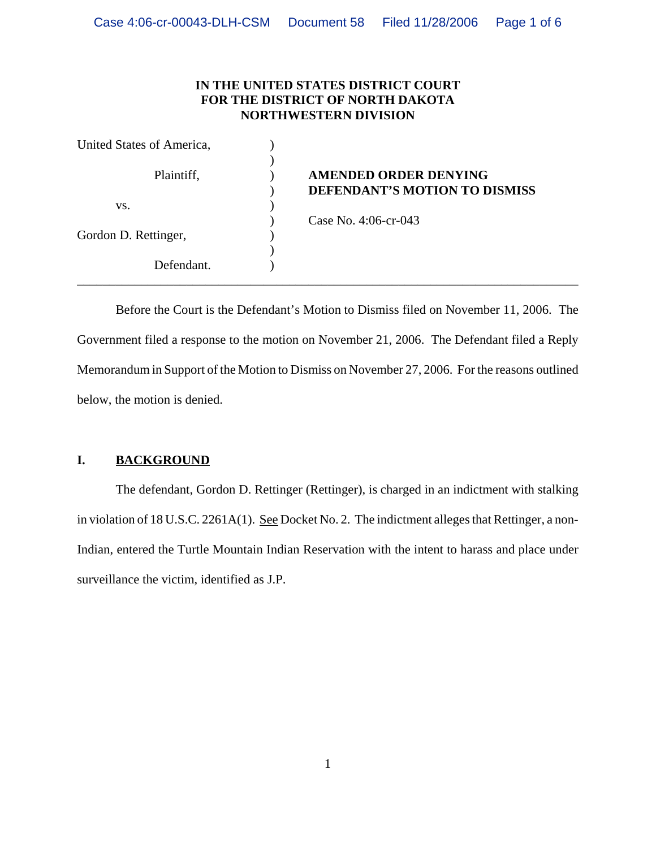### **IN THE UNITED STATES DISTRICT COURT FOR THE DISTRICT OF NORTH DAKOTA NORTHWESTERN DIVISION**

| United States of America, |                                                               |
|---------------------------|---------------------------------------------------------------|
| Plaintiff,                | <b>AMENDED ORDER DENYING</b><br>DEFENDANT'S MOTION TO DISMISS |
| VS.                       |                                                               |
|                           | Case No. 4:06-cr-043                                          |
| Gordon D. Rettinger,      |                                                               |
|                           |                                                               |
| Defendant.                |                                                               |

Before the Court is the Defendant's Motion to Dismiss filed on November 11, 2006. The Government filed a response to the motion on November 21, 2006. The Defendant filed a Reply Memorandum in Support of the Motion to Dismiss on November 27, 2006. For the reasons outlined below, the motion is denied.

# **I. BACKGROUND**

The defendant, Gordon D. Rettinger (Rettinger), is charged in an indictment with stalking in violation of 18 U.S.C. 2261A(1). See Docket No. 2. The indictment alleges that Rettinger, a non-Indian, entered the Turtle Mountain Indian Reservation with the intent to harass and place under surveillance the victim, identified as J.P.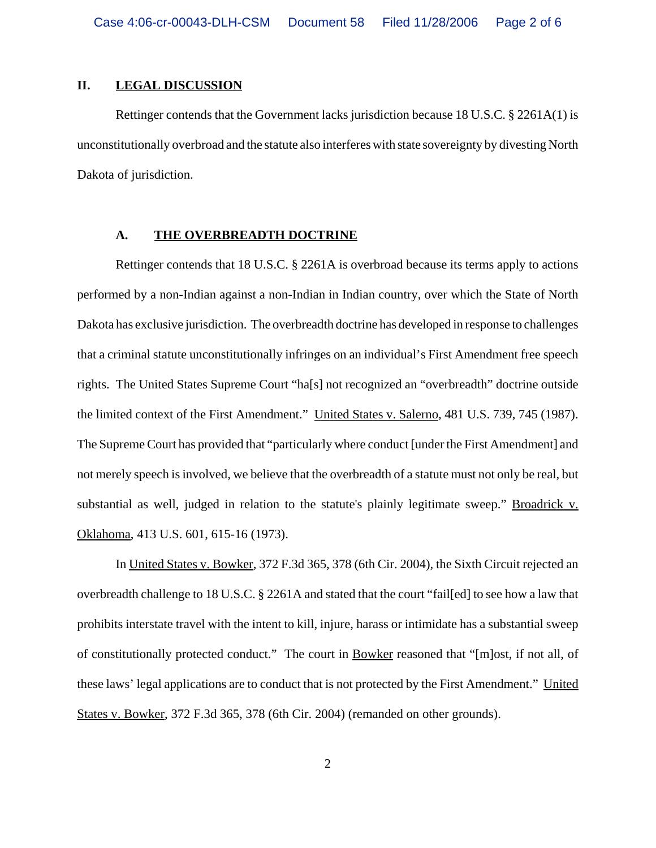### **II. LEGAL DISCUSSION**

Rettinger contends that the Government lacks jurisdiction because 18 U.S.C. § 2261A(1) is unconstitutionally overbroad and the statute also interferes with state sovereignty by divesting North Dakota of jurisdiction.

#### **A. THE OVERBREADTH DOCTRINE**

Rettinger contends that 18 U.S.C. § 2261A is overbroad because its terms apply to actions performed by a non-Indian against a non-Indian in Indian country, over which the State of North Dakota has exclusive jurisdiction. The overbreadth doctrine has developed in response to challenges that a criminal statute unconstitutionally infringes on an individual's First Amendment free speech rights. The United States Supreme Court "ha[s] not recognized an "overbreadth" doctrine outside the limited context of the First Amendment." United States v. Salerno, 481 U.S. 739, 745 (1987). The Supreme Court has provided that "particularly where conduct [under the First Amendment] and not merely speech is involved, we believe that the overbreadth of a statute must not only be real, but substantial as well, judged in relation to the statute's plainly legitimate sweep." Broadrick v. Oklahoma, 413 U.S. 601, 615-16 (1973).

In United States v. Bowker, 372 F.3d 365, 378 (6th Cir. 2004), the Sixth Circuit rejected an overbreadth challenge to 18 U.S.C. § 2261A and stated that the court "fail[ed] to see how a law that prohibits interstate travel with the intent to kill, injure, harass or intimidate has a substantial sweep of constitutionally protected conduct." The court in Bowker reasoned that "[m]ost, if not all, of these laws' legal applications are to conduct that is not protected by the First Amendment." United States v. Bowker, 372 F.3d 365, 378 (6th Cir. 2004) (remanded on other grounds).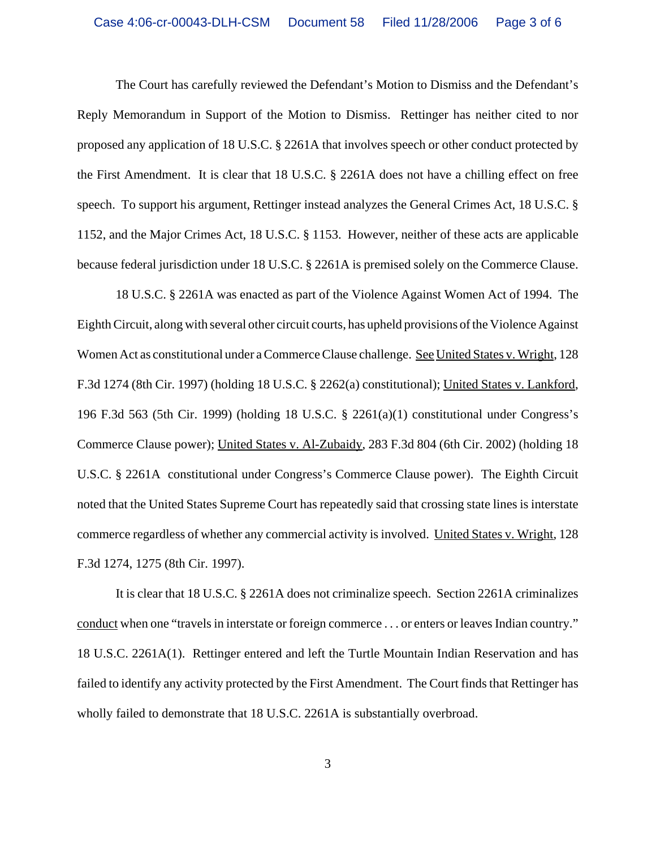The Court has carefully reviewed the Defendant's Motion to Dismiss and the Defendant's Reply Memorandum in Support of the Motion to Dismiss. Rettinger has neither cited to nor proposed any application of 18 U.S.C. § 2261A that involves speech or other conduct protected by the First Amendment. It is clear that 18 U.S.C. § 2261A does not have a chilling effect on free speech. To support his argument, Rettinger instead analyzes the General Crimes Act, 18 U.S.C. § 1152, and the Major Crimes Act, 18 U.S.C. § 1153. However, neither of these acts are applicable because federal jurisdiction under 18 U.S.C. § 2261A is premised solely on the Commerce Clause.

18 U.S.C. § 2261A was enacted as part of the Violence Against Women Act of 1994. The Eighth Circuit, along with several other circuit courts, has upheld provisions of the Violence Against Women Act as constitutional under a Commerce Clause challenge. See United States v. Wright, 128 F.3d 1274 (8th Cir. 1997) (holding 18 U.S.C. § 2262(a) constitutional); United States v. Lankford, 196 F.3d 563 (5th Cir. 1999) (holding 18 U.S.C. § 2261(a)(1) constitutional under Congress's Commerce Clause power); United States v. Al-Zubaidy, 283 F.3d 804 (6th Cir. 2002) (holding 18 U.S.C. § 2261A constitutional under Congress's Commerce Clause power). The Eighth Circuit noted that the United States Supreme Court has repeatedly said that crossing state lines is interstate commerce regardless of whether any commercial activity is involved. United States v. Wright, 128 F.3d 1274, 1275 (8th Cir. 1997).

It is clear that 18 U.S.C. § 2261A does not criminalize speech. Section 2261A criminalizes conduct when one "travels in interstate or foreign commerce . . . or enters or leaves Indian country." 18 U.S.C. 2261A(1). Rettinger entered and left the Turtle Mountain Indian Reservation and has failed to identify any activity protected by the First Amendment. The Court finds that Rettinger has wholly failed to demonstrate that 18 U.S.C. 2261A is substantially overbroad.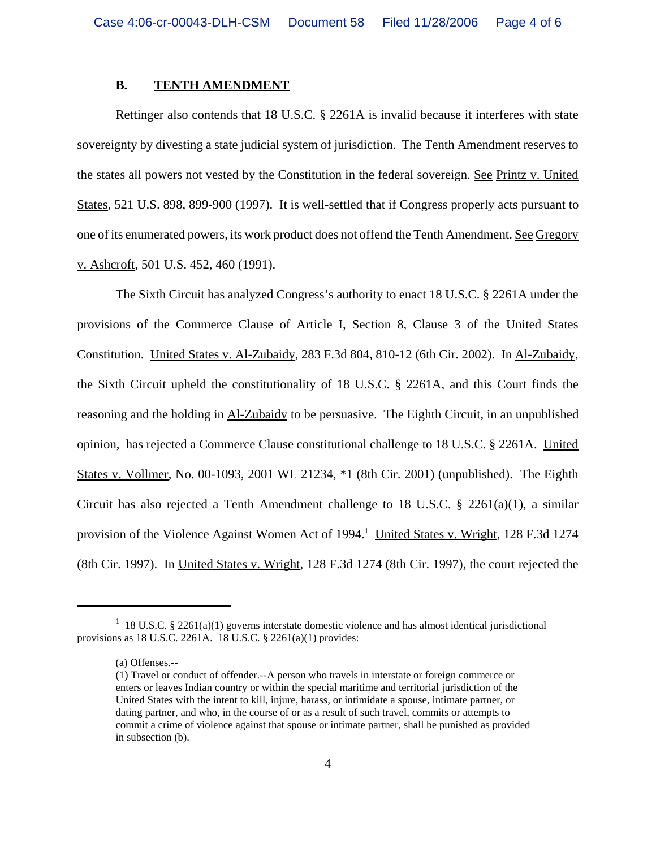#### **B. TENTH AMENDMENT**

Rettinger also contends that 18 U.S.C. § 2261A is invalid because it interferes with state sovereignty by divesting a state judicial system of jurisdiction. The Tenth Amendment reserves to the states all powers not vested by the Constitution in the federal sovereign. See Printz v. United States, 521 U.S. 898, 899-900 (1997). It is well-settled that if Congress properly acts pursuant to one of its enumerated powers, its work product does not offend the Tenth Amendment. See Gregory v. Ashcroft, 501 U.S. 452, 460 (1991).

The Sixth Circuit has analyzed Congress's authority to enact 18 U.S.C. § 2261A under the provisions of the Commerce Clause of Article I, Section 8, Clause 3 of the United States Constitution. United States v. Al-Zubaidy, 283 F.3d 804, 810-12 (6th Cir. 2002). In Al-Zubaidy, the Sixth Circuit upheld the constitutionality of 18 U.S.C. § 2261A, and this Court finds the reasoning and the holding in Al-Zubaidy to be persuasive. The Eighth Circuit, in an unpublished opinion, has rejected a Commerce Clause constitutional challenge to 18 U.S.C. § 2261A. United States v. Vollmer, No. 00-1093, 2001 WL 21234, \*1 (8th Cir. 2001) (unpublished). The Eighth Circuit has also rejected a Tenth Amendment challenge to 18 U.S.C. § 2261(a)(1), a similar provision of the Violence Against Women Act of 1994.<sup>1</sup> United States v. Wright, 128 F.3d 1274 (8th Cir. 1997). In United States v. Wright, 128 F.3d 1274 (8th Cir. 1997), the court rejected the

<sup>&</sup>lt;sup>1</sup> 18 U.S.C. § 2261(a)(1) governs interstate domestic violence and has almost identical jurisdictional provisions as 18 U.S.C. 2261A. 18 U.S.C. § 2261(a)(1) provides:

<sup>(</sup>a) Offenses.--

<sup>(1)</sup> Travel or conduct of offender.--A person who travels in interstate or foreign commerce or enters or leaves Indian country or within the special maritime and territorial jurisdiction of the United States with the intent to kill, injure, harass, or intimidate a spouse, intimate partner, or dating partner, and who, in the course of or as a result of such travel, commits or attempts to commit a crime of violence against that spouse or intimate partner, shall be punished as provided in subsection (b).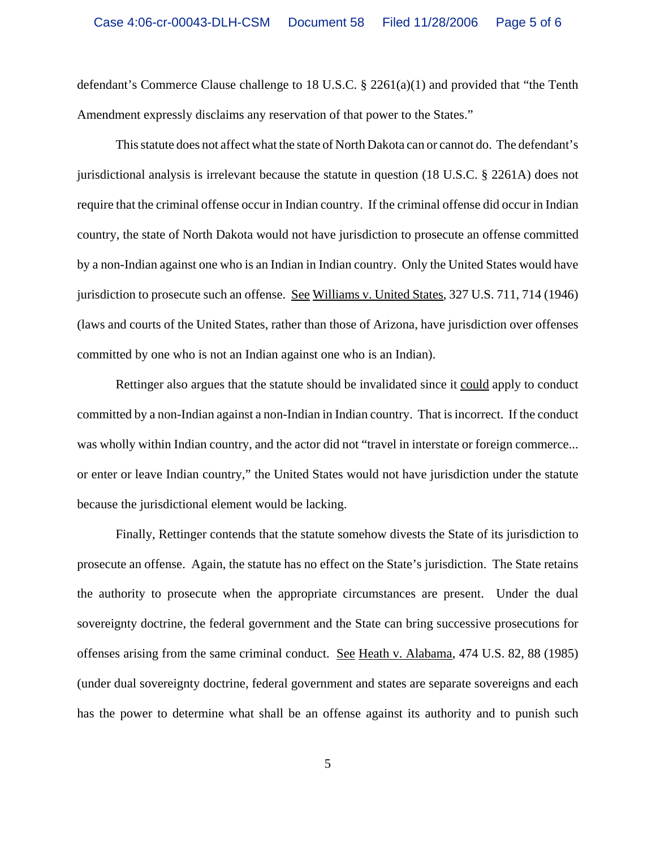defendant's Commerce Clause challenge to 18 U.S.C. § 2261(a)(1) and provided that "the Tenth Amendment expressly disclaims any reservation of that power to the States."

This statute does not affect what the state of North Dakota can or cannot do. The defendant's jurisdictional analysis is irrelevant because the statute in question (18 U.S.C. § 2261A) does not require that the criminal offense occur in Indian country. If the criminal offense did occur in Indian country, the state of North Dakota would not have jurisdiction to prosecute an offense committed by a non-Indian against one who is an Indian in Indian country. Only the United States would have jurisdiction to prosecute such an offense. See Williams v. United States, 327 U.S. 711, 714 (1946) (laws and courts of the United States, rather than those of Arizona, have jurisdiction over offenses committed by one who is not an Indian against one who is an Indian).

Rettinger also argues that the statute should be invalidated since it could apply to conduct committed by a non-Indian against a non-Indian in Indian country. That is incorrect. If the conduct was wholly within Indian country, and the actor did not "travel in interstate or foreign commerce... or enter or leave Indian country," the United States would not have jurisdiction under the statute because the jurisdictional element would be lacking.

Finally, Rettinger contends that the statute somehow divests the State of its jurisdiction to prosecute an offense. Again, the statute has no effect on the State's jurisdiction. The State retains the authority to prosecute when the appropriate circumstances are present. Under the dual sovereignty doctrine, the federal government and the State can bring successive prosecutions for offenses arising from the same criminal conduct. See Heath v. Alabama, 474 U.S. 82, 88 (1985) (under dual sovereignty doctrine, federal government and states are separate sovereigns and each has the power to determine what shall be an offense against its authority and to punish such